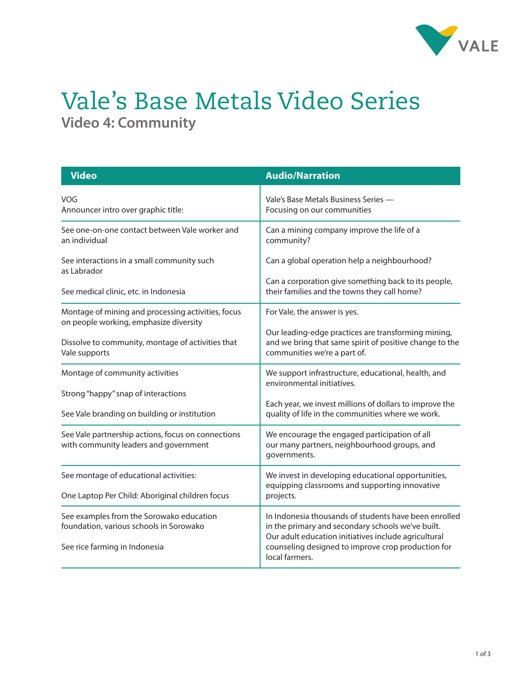

## Vale's Base Metals Video Series **Video 4: Community**

| <b>Video</b>                                                                                 | <b>Audio/Narration</b>                                                                                                                                             |
|----------------------------------------------------------------------------------------------|--------------------------------------------------------------------------------------------------------------------------------------------------------------------|
| VOG<br>Announcer intro over graphic title:                                                   | Vale's Base Metals Business Series -<br>Focusing on our communities                                                                                                |
| See one-on-one contact between Vale worker and<br>an individual                              | Can a mining company improve the life of a<br>community?                                                                                                           |
| See interactions in a small community such<br>as Labrador                                    | Can a global operation help a neighbourhood?                                                                                                                       |
| See medical clinic, etc. in Indonesia                                                        | Can a corporation give something back to its people,<br>their families and the towns they call home?                                                               |
| Montage of mining and processing activities, focus<br>on people working, emphasize diversity | For Vale, the answer is yes.                                                                                                                                       |
| Dissolve to community, montage of activities that<br>Vale supports                           | Our leading-edge practices are transforming mining,<br>and we bring that same spirit of positive change to the<br>communities we're a part of.                     |
| Montage of community activities                                                              | We support infrastructure, educational, health, and<br>environmental initiatives.                                                                                  |
| Strong "happy" snap of interactions                                                          |                                                                                                                                                                    |
| See Vale branding on building or institution                                                 | Each year, we invest millions of dollars to improve the<br>quality of life in the communities where we work.                                                       |
| See Vale partnership actions, focus on connections<br>with community leaders and government  | We encourage the engaged participation of all<br>our many partners, neighbourhood groups, and<br>governments.                                                      |
| See montage of educational activities:                                                       | We invest in developing educational opportunities,<br>equipping classrooms and supporting innovative                                                               |
| One Laptop Per Child: Aboriginal children focus                                              | projects.                                                                                                                                                          |
| See examples from the Sorowako education<br>foundation, various schools in Sorowako          | In Indonesia thousands of students have been enrolled<br>in the primary and secondary schools we've built.<br>Our adult education initiatives include agricultural |
| See rice farming in Indonesia                                                                | counseling designed to improve crop production for<br>local farmers.                                                                                               |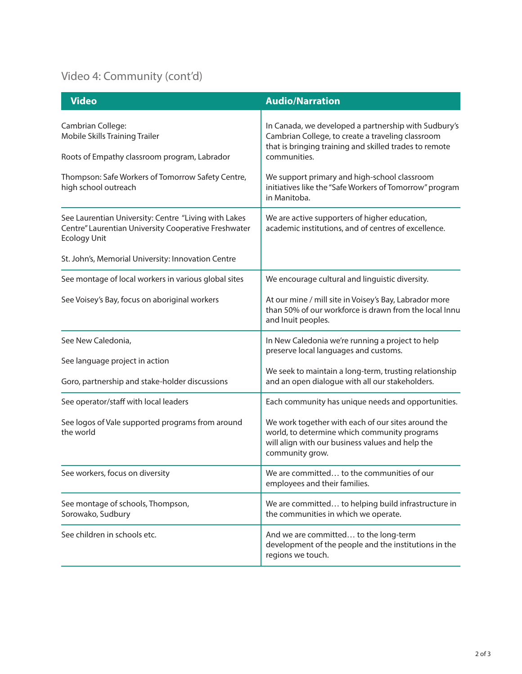## Video 4: Community (cont'd)

| <b>Video</b>                                                                                                                        | <b>Audio/Narration</b>                                                                                                                                                              |
|-------------------------------------------------------------------------------------------------------------------------------------|-------------------------------------------------------------------------------------------------------------------------------------------------------------------------------------|
| Cambrian College:<br><b>Mobile Skills Training Trailer</b><br>Roots of Empathy classroom program, Labrador                          | In Canada, we developed a partnership with Sudbury's<br>Cambrian College, to create a traveling classroom<br>that is bringing training and skilled trades to remote<br>communities. |
| Thompson: Safe Workers of Tomorrow Safety Centre,<br>high school outreach                                                           | We support primary and high-school classroom<br>initiatives like the "Safe Workers of Tomorrow" program<br>in Manitoba.                                                             |
| See Laurentian University: Centre "Living with Lakes<br>Centre" Laurentian University Cooperative Freshwater<br><b>Ecology Unit</b> | We are active supporters of higher education,<br>academic institutions, and of centres of excellence.                                                                               |
| St. John's, Memorial University: Innovation Centre                                                                                  |                                                                                                                                                                                     |
| See montage of local workers in various global sites                                                                                | We encourage cultural and linguistic diversity.                                                                                                                                     |
| See Voisey's Bay, focus on aboriginal workers                                                                                       | At our mine / mill site in Voisey's Bay, Labrador more<br>than 50% of our workforce is drawn from the local Innu<br>and Inuit peoples.                                              |
| See New Caledonia,                                                                                                                  | In New Caledonia we're running a project to help<br>preserve local languages and customs.                                                                                           |
| See language project in action<br>Goro, partnership and stake-holder discussions                                                    | We seek to maintain a long-term, trusting relationship<br>and an open dialogue with all our stakeholders.                                                                           |
| See operator/staff with local leaders                                                                                               | Each community has unique needs and opportunities.                                                                                                                                  |
| See logos of Vale supported programs from around<br>the world                                                                       | We work together with each of our sites around the<br>world, to determine which community programs<br>will align with our business values and help the<br>community grow.           |
| See workers, focus on diversity                                                                                                     | We are committed to the communities of our<br>employees and their families.                                                                                                         |
| See montage of schools, Thompson,<br>Sorowako, Sudbury                                                                              | We are committed to helping build infrastructure in<br>the communities in which we operate.                                                                                         |
| See children in schools etc.                                                                                                        | And we are committed to the long-term<br>development of the people and the institutions in the<br>regions we touch.                                                                 |